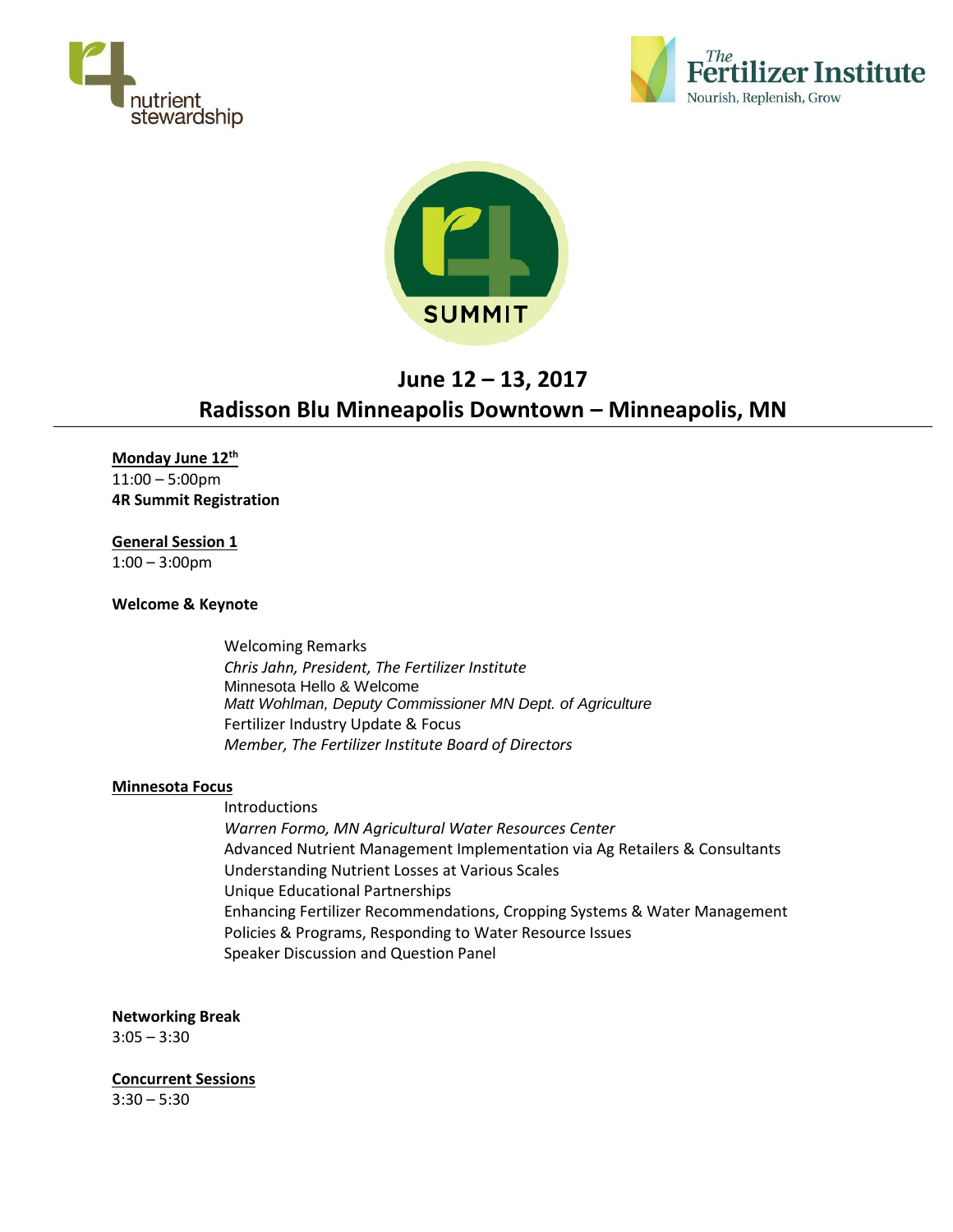





# **June 12 – 13, 2017 Radisson Blu Minneapolis Downtown – Minneapolis, MN**

**Monday June 12th** 11:00 – 5:00pm **4R Summit Registration**

**General Session 1** 1:00 – 3:00pm

# **Welcome & Keynote**

Welcoming Remarks *Chris Jahn, President, The Fertilizer Institute* Minnesota Hello & Welcome *Matt Wohlman, Deputy Commissioner MN Dept. of Agriculture* Fertilizer Industry Update & Focus *Member, The Fertilizer Institute Board of Directors*

## **Minnesota Focus**

Introductions *Warren Formo, MN Agricultural Water Resources Center* Advanced Nutrient Management Implementation via Ag Retailers & Consultants Understanding Nutrient Losses at Various Scales Unique Educational Partnerships Enhancing Fertilizer Recommendations, Cropping Systems & Water Management Policies & Programs, Responding to Water Resource Issues Speaker Discussion and Question Panel

**Networking Break**

 $3:05 - 3:30$ 

**Concurrent Sessions**  $3:30 - 5:30$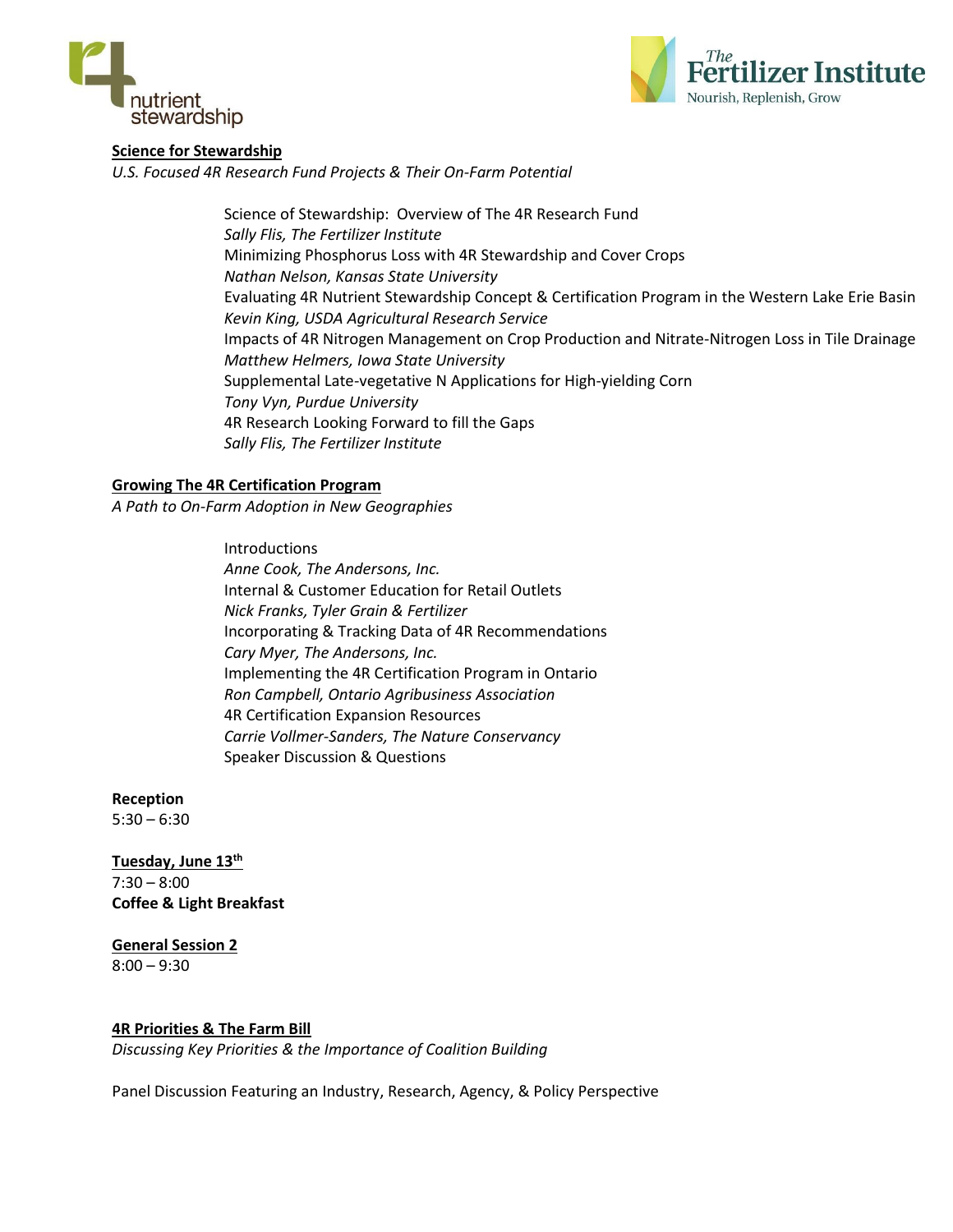



# **Science for Stewardship**

*U.S. Focused 4R Research Fund Projects & Their On-Farm Potential*

Science of Stewardship: Overview of The 4R Research Fund *Sally Flis, The Fertilizer Institute* Minimizing Phosphorus Loss with 4R Stewardship and Cover Crops *Nathan Nelson, Kansas State University* Evaluating 4R Nutrient Stewardship Concept & Certification Program in the Western Lake Erie Basin *Kevin King, USDA Agricultural Research Service* Impacts of 4R Nitrogen Management on Crop Production and Nitrate-Nitrogen Loss in Tile Drainage *Matthew Helmers, Iowa State University* Supplemental Late-vegetative N Applications for High-yielding Corn *Tony Vyn, Purdue University* 4R Research Looking Forward to fill the Gaps *Sally Flis, The Fertilizer Institute*

## **Growing The 4R Certification Program**

*A Path to On-Farm Adoption in New Geographies*

Introductions *Anne Cook, The Andersons, Inc.* Internal & Customer Education for Retail Outlets *Nick Franks, Tyler Grain & Fertilizer* Incorporating & Tracking Data of 4R Recommendations *Cary Myer, The Andersons, Inc.* Implementing the 4R Certification Program in Ontario *Ron Campbell, Ontario Agribusiness Association* 4R Certification Expansion Resources *Carrie Vollmer-Sanders, The Nature Conservancy* Speaker Discussion & Questions

**Reception**  $5:30 - 6:30$ 

**Tuesday, June 13th** 7:30 – 8:00 **Coffee & Light Breakfast**

**General Session 2** 8:00 – 9:30

## **4R Priorities & The Farm Bill**

*Discussing Key Priorities & the Importance of Coalition Building*

Panel Discussion Featuring an Industry, Research, Agency, & Policy Perspective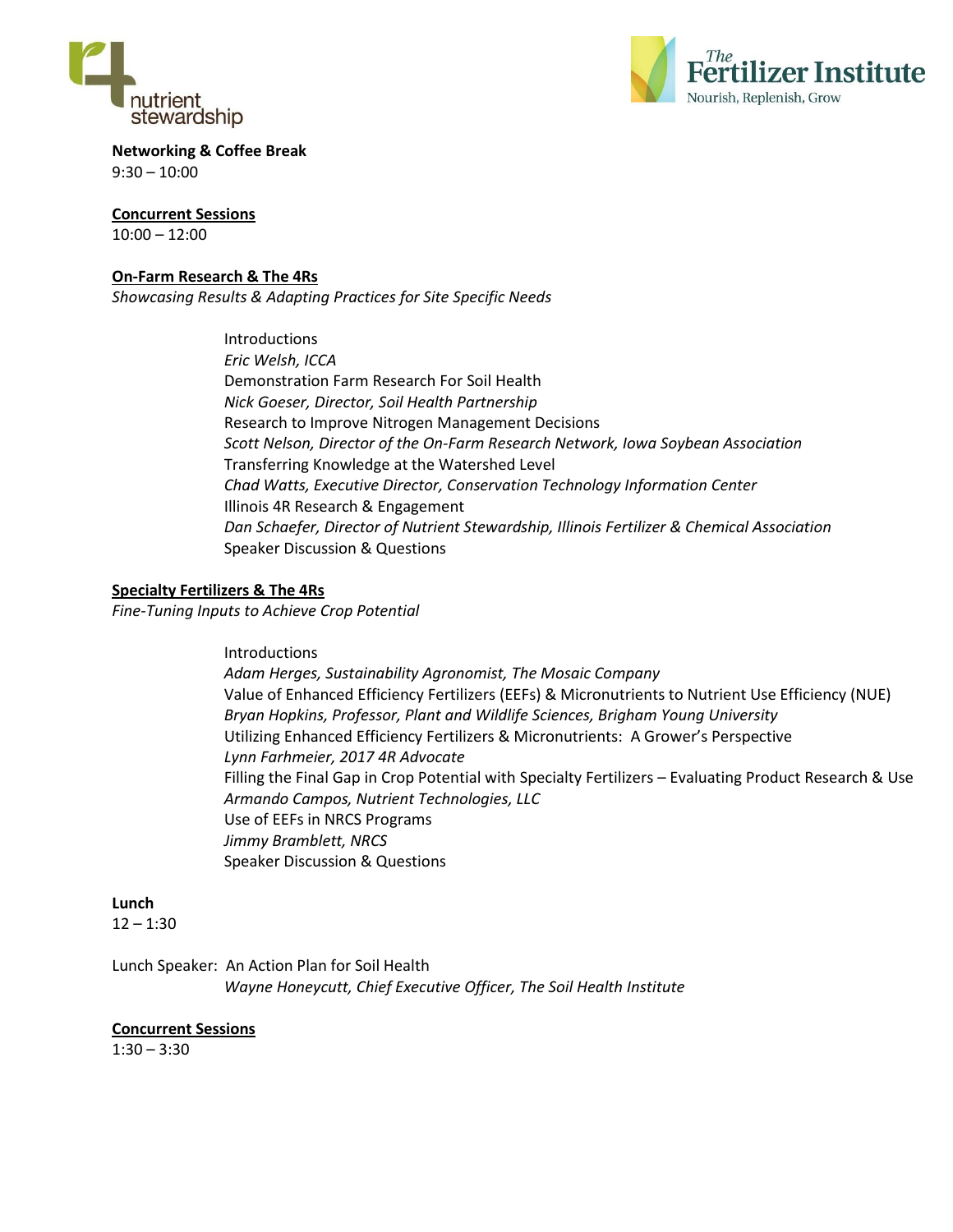



**Networking & Coffee Break**  $9:30 - 10:00$ 

**Concurrent Sessions** 10:00 – 12:00

# **On-Farm Research & The 4Rs**

*Showcasing Results & Adapting Practices for Site Specific Needs*

Introductions *Eric Welsh, ICCA* Demonstration Farm Research For Soil Health *Nick Goeser, Director, Soil Health Partnership* Research to Improve Nitrogen Management Decisions *Scott Nelson, Director of the On-Farm Research Network, Iowa Soybean Association* Transferring Knowledge at the Watershed Level *Chad Watts, Executive Director, Conservation Technology Information Center*  Illinois 4R Research & Engagement *Dan Schaefer, Director of Nutrient Stewardship, Illinois Fertilizer & Chemical Association* Speaker Discussion & Questions

## **Specialty Fertilizers & The 4Rs**

*Fine-Tuning Inputs to Achieve Crop Potential*

**Introductions** *Adam Herges, Sustainability Agronomist, The Mosaic Company* Value of Enhanced Efficiency Fertilizers (EEFs) & Micronutrients to Nutrient Use Efficiency (NUE) *Bryan Hopkins, Professor, Plant and Wildlife Sciences, Brigham Young University* Utilizing Enhanced Efficiency Fertilizers & Micronutrients: A Grower's Perspective *Lynn Farhmeier, 2017 4R Advocate* Filling the Final Gap in Crop Potential with Specialty Fertilizers – Evaluating Product Research & Use *Armando Campos, Nutrient Technologies, LLC* Use of EEFs in NRCS Programs *Jimmy Bramblett, NRCS* Speaker Discussion & Questions

## **Lunch**

 $12 - 1:30$ 

Lunch Speaker: An Action Plan for Soil Health *Wayne Honeycutt, Chief Executive Officer, The Soil Health Institute*

## **Concurrent Sessions**

 $1:30 - 3:30$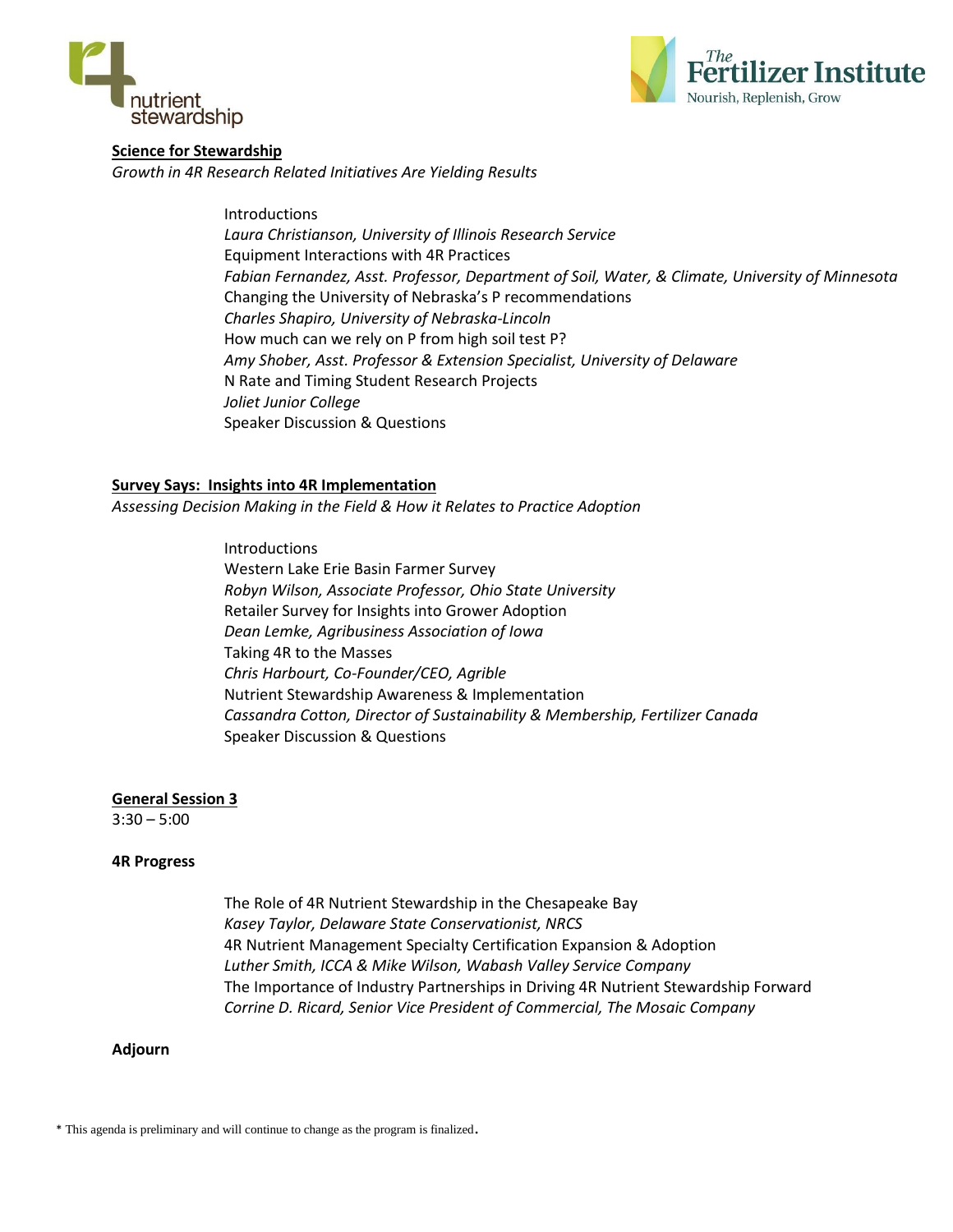



# **Science for Stewardship**

*Growth in 4R Research Related Initiatives Are Yielding Results*

Introductions *Laura Christianson, University of Illinois Research Service* Equipment Interactions with 4R Practices *Fabian Fernandez, Asst. Professor, Department of Soil, Water, & Climate, University of Minnesota* Changing the University of Nebraska's P recommendations *Charles Shapiro, University of Nebraska-Lincoln* How much can we rely on P from high soil test P? *Amy Shober, Asst. Professor & Extension Specialist, University of Delaware* N Rate and Timing Student Research Projects *Joliet Junior College* Speaker Discussion & Questions

## **Survey Says: Insights into 4R Implementation**

*Assessing Decision Making in the Field & How it Relates to Practice Adoption*

Introductions Western Lake Erie Basin Farmer Survey *Robyn Wilson, Associate Professor, Ohio State University* Retailer Survey for Insights into Grower Adoption *Dean Lemke, Agribusiness Association of Iowa* Taking 4R to the Masses *Chris Harbourt, Co-Founder/CEO, Agrible* Nutrient Stewardship Awareness & Implementation *Cassandra Cotton, Director of Sustainability & Membership, Fertilizer Canada* Speaker Discussion & Questions

## **General Session 3**

 $3:30 - 5:00$ 

#### **4R Progress**

The Role of 4R Nutrient Stewardship in the Chesapeake Bay *Kasey Taylor, Delaware State Conservationist, NRCS* 4R Nutrient Management Specialty Certification Expansion & Adoption *Luther Smith, ICCA & Mike Wilson, Wabash Valley Service Company* The Importance of Industry Partnerships in Driving 4R Nutrient Stewardship Forward *Corrine D. Ricard, Senior Vice President of Commercial, The Mosaic Company*

#### **Adjourn**

\* This agenda is preliminary and will continue to change as the program is finalized.